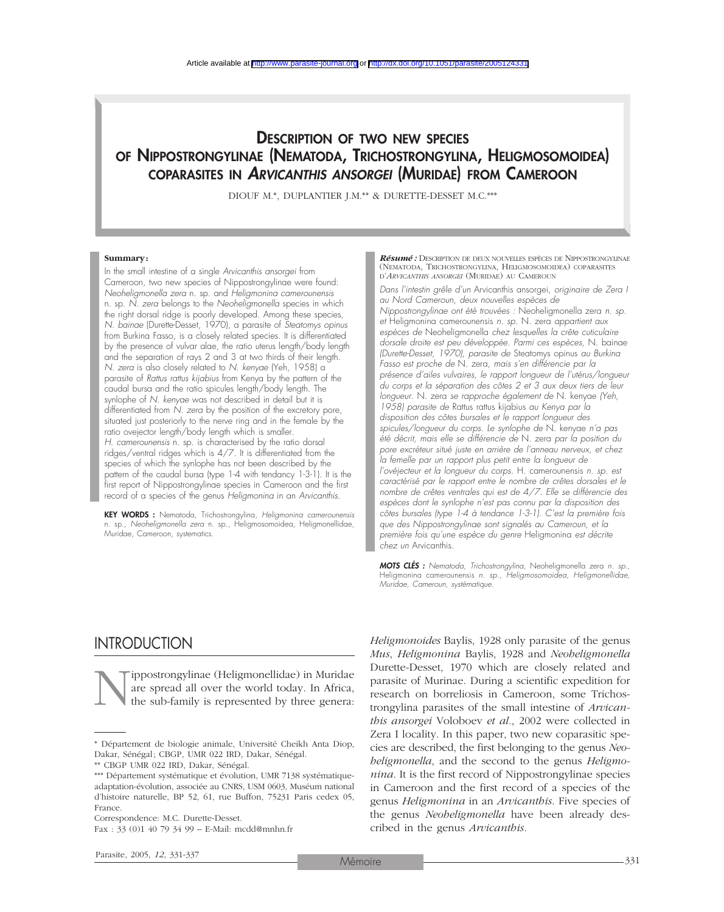## DESCRIPTION OF TWO NEW SPECIES OF NIPPOSTRONGYLINAE (NEMATODA, TRICHOSTRONGYLINA, HELIGMOSOMOIDEA) COPARASITES IN *ARVICANTHIS ANSORGEI* (MURIDAE) FROM CAMEROON

DIOUF M.\*, DUPLANTIER J.M.\*\* & DURETTE-DESSET M.C.\*\*\*

#### **Summary:**

In the small intestine of a single *Arvicanthis ansorgei* from Cameroon, two new species of Nippostrongylinae were found: *Neoheligmonella zera* n. sp*.* and *Heligmonina camerounensis* n. sp. *N. zera* belongs to the *Neoheligmonella* species in which the right dorsal ridge is poorly developed. Among these species, *N. bainae* (Durette-Desset, 1970), a parasite of *Steatomys opinus* from Burkina Fasso, is a closely related species. It is differentiated by the presence of vulvar alae, the ratio uterus length/body length and the separation of rays 2 and 3 at two thirds of their length. *N. zera* is also closely related to *N. kenyae* (Yeh, 1958) a parasite of *Rattus rattus kijabius* from Kenya by the pattern of the caudal bursa and the ratio spicules length/body length. The synlophe of *N. kenyae* was not described in detail but it is differentiated from *N. zera* by the position of the excretory pore, situated just posteriorly to the nerve ring and in the female by the ratio ovejector length/body length which is smaller. *H. camerounensis* n. sp. is characterised by the ratio dorsal ridges/ventral ridges which is 4/7. It is differentiated from the species of which the synlophe has not been described by the pattern of the caudal bursa (type 1-4 with tendancy 1-3-1). It is the first report of Nippostrongylinae species in Cameroon and the first record of a species of the genus *Heligmonina* in an *Arvicanthis.*

KEY WORDS : Nematoda, Trichostrongylina, *Heligmonina camerounensis* n. sp., *Neoheligmonella zera* n. sp., Heligmosomoidea, Heligmonellidae, Muridae, Cameroon, systematics.

*Résumé :* DESCRIPTION DE DEUX NOUVELLES ESPÈCES DE NIPPOSTRONGYLINAE (NEMATODA, TRICHOSTRONGYLINA, HELIGMOSOMOIDEA) COPARASITES D'*ARVICANTHIS ANSORGEI* (MURIDAE) AU CAMEROUN

*Dans l'intestin grêle d'un* Arvicanthis ansorgei*, originaire de Zera I au Nord Cameroun, deux nouvelles espèces de Nippostrongylinae ont été trouvées :* Neoheligmonella zera *n. sp. et* Heligmonina camerounensis *n. sp.* N. zera *appartient aux espèces de* Neoheligmonella *chez lesquelles la crête cuticulaire dorsale droite est peu développée. Parmi ces espèces,* N. bainae *(Durette-Desset, 1970), parasite de* Steatomys opinus *au Burkina Fasso est proche de* N. zera*, mais s'en différencie par la présence d'ailes vulvaires, le rapport longueur de l'utérus/longueur du corps et la séparation des côtes 2 et 3 aux deux tiers de leur longueur.* N. zera *se rapproche également de* N. kenyae *(Yeh, 1958) parasite de* Rattus rattus kijabius *au Kenya par la disposition des côtes bursales et le rapport longueur des spicules/longueur du corps. Le synlophe de* N. kenyae *n'a pas été décrit, mais elle se différencie de* N. zera *par la position du pore excréteur situé juste en arrière de l'anneau nerveux, et chez la femelle par un rapport plus petit entre la longueur de l'ovéjecteur et la longueur du corps.* H. camerounensis *n. sp. est caractérisé par le rapport entre le nombre de crêtes dorsales et le nombre de crêtes ventrales qui est de 4/7. Elle se différencie des espèces dont le synlophe n'est pas connu par la disposition des côtes bursales (type 1-4 à tendance 1-3-1). C'est la première fois que des Nippostrongylinae sont signalés au Cameroun, et la première fois qu'une espèce du genre* Heligmonina *est décrite chez un* Arvicanthis*.*

*MOTS CLÉS : Nematoda, Trichostrongylina,* Neoheligmonella zera *n. sp.,* Heligmonina camerounensis *n. sp., Heligmosomoidea, Heligmonellidae, Muridae, Cameroun, systématique.*

### **INTRODUCTION**

'ippostrongylinae (Heligmonellidae) in Muridae are spread all over the world today. In Africa, the sub-family is represented by three genera:

Correspondence: M.C. Durette-Desset.

*Heligmonoides* Baylis, 1928 only parasite of the genus *Mus*, *Heligmonina* Baylis, 1928 and *Neoheligmonella* Durette-Desset, 1970 which are closely related and parasite of Murinae. During a scientific expedition for research on borreliosis in Cameroon, some Trichostrongylina parasites of the small intestine of *Arvicanthis ansorgei* Voloboev *et al.*, 2002 were collected in Zera I locality. In this paper, two new coparasitic species are described, the first belonging to the genus *Neoheligmonella*, and the second to the genus *Heligmonina*. It is the first record of Nippostrongylinae species in Cameroon and the first record of a species of the genus *Heligmonina* in an *Arvicanthis*. Five species of the genus *Neoheligmonella* have been already described in the genus *Arvicanthis.*

<sup>\*</sup> Département de biologie animale, Université Cheikh Anta Diop, Dakar, Sénégal; CBGP, UMR 022 IRD, Dakar, Sénégal.

<sup>\*\*</sup> CBGP UMR 022 IRD, Dakar, Sénégal.

<sup>\*\*\*</sup> Département systématique et évolution, UMR 7138 systématiqueadaptation-évolution, associée au CNRS, USM 0603, Muséum national d'histoire naturelle, BP 52, 61, rue Buffon, 75231 Paris cedex 05, France.

Fax : 33 (0)1 40 79 34 99 – E-Mail: mcdd@mnhn.fr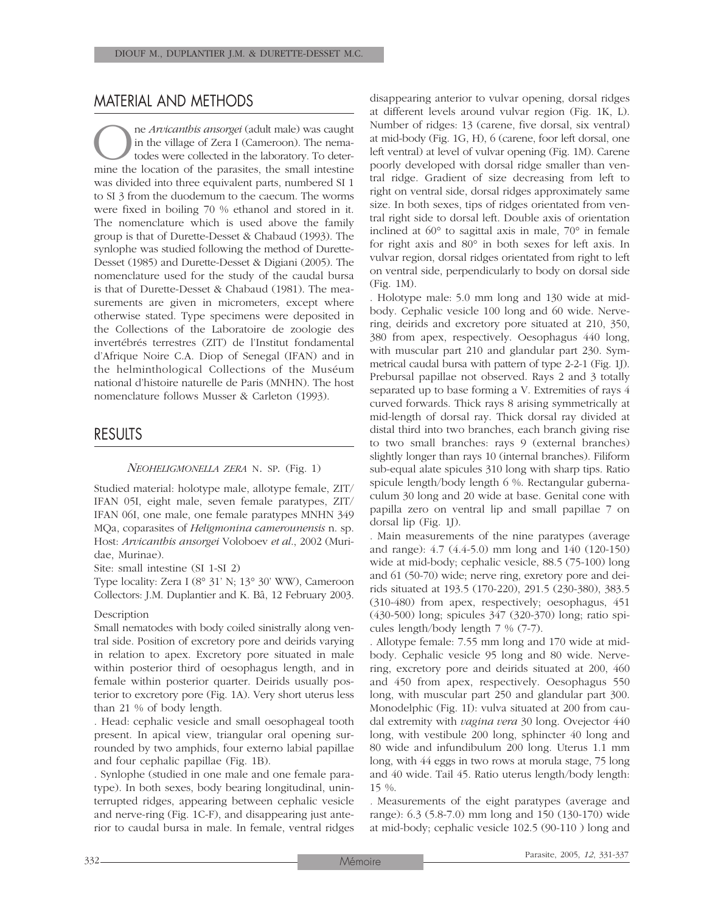## MATERIAL AND METHODS

**One** *Arvicanthis ansorgei* (adult male) was caught in the village of Zera I (Cameroon). The nematodes were collected in the laboratory. To determine the location of the parasites, the small intestine in the village of Zera I (Cameroon). The nematodes were collected in the laboratory. To deterwas divided into three equivalent parts, numbered SI 1 to SI 3 from the duodemum to the caecum. The worms were fixed in boiling 70 % ethanol and stored in it. The nomenclature which is used above the family group is that of Durette-Desset & Chabaud (1993). The synlophe was studied following the method of Durette-Desset (1985) and Durette-Desset & Digiani (2005). The nomenclature used for the study of the caudal bursa is that of Durette-Desset & Chabaud (1981). The measurements are given in micrometers, except where otherwise stated. Type specimens were deposited in the Collections of the Laboratoire de zoologie des invertébrés terrestres (ZIT) de l'Institut fondamental d'Afrique Noire C.A. Diop of Senegal (IFAN) and in the helminthological Collections of the Muséum national d'histoire naturelle de Paris (MNHN). The host nomenclature follows Musser & Carleton (1993).

## RESULTS

#### *NEOHELIGMONELLA ZERA* N. SP. (Fig. 1)

Studied material: holotype male, allotype female, ZIT/ IFAN 05I, eight male, seven female paratypes, ZIT/ IFAN 06I, one male, one female paratypes MNHN 349 MQa, coparasites of *Heligmonina camerounensis* n. sp. Host: *Arvicanthis ansorgei* Voloboev *et al*., 2002 (Muridae, Murinae).

Site: small intestine (SI 1-SI 2)

Type locality: Zera I (8° 31' N; 13° 30' WW), Cameroon Collectors: J.M. Duplantier and K. Bâ, 12 February 2003.

#### Description

Small nematodes with body coiled sinistrally along ventral side. Position of excretory pore and deirids varying in relation to apex. Excretory pore situated in male within posterior third of oesophagus length, and in female within posterior quarter. Deirids usually posterior to excretory pore (Fig. 1A). Very short uterus less than 21 % of body length.

. Head: cephalic vesicle and small oesophageal tooth present. In apical view, triangular oral opening surrounded by two amphids, four externo labial papillae and four cephalic papillae (Fig. 1B).

. Synlophe (studied in one male and one female paratype). In both sexes, body bearing longitudinal, uninterrupted ridges, appearing between cephalic vesicle and nerve-ring (Fig. 1C-F), and disappearing just anterior to caudal bursa in male. In female, ventral ridges disappearing anterior to vulvar opening, dorsal ridges at different levels around vulvar region (Fig. 1K, L). Number of ridges: 13 (carene, five dorsal, six ventral) at mid-body (Fig. 1G, H), 6 (carene, foor left dorsal, one left ventral) at level of vulvar opening (Fig. 1M). Carene poorly developed with dorsal ridge smaller than ventral ridge. Gradient of size decreasing from left to right on ventral side, dorsal ridges approximately same size. In both sexes, tips of ridges orientated from ventral right side to dorsal left. Double axis of orientation inclined at 60° to sagittal axis in male, 70° in female for right axis and 80° in both sexes for left axis. In vulvar region, dorsal ridges orientated from right to left on ventral side, perpendicularly to body on dorsal side (Fig. 1M).

. Holotype male: 5.0 mm long and 130 wide at midbody. Cephalic vesicle 100 long and 60 wide. Nervering, deirids and excretory pore situated at 210, 350, 380 from apex, respectively. Oesophagus 440 long, with muscular part 210 and glandular part 230. Symmetrical caudal bursa with pattern of type 2-2-1 (Fig. 1J). Prebursal papillae not observed. Rays 2 and 3 totally separated up to base forming a V. Extremities of rays 4 curved forwards. Thick rays 8 arising symmetrically at mid-length of dorsal ray. Thick dorsal ray divided at distal third into two branches, each branch giving rise to two small branches: rays 9 (external branches) slightly longer than rays 10 (internal branches). Filiform sub-equal alate spicules 310 long with sharp tips. Ratio spicule length/body length 6 %. Rectangular gubernaculum 30 long and 20 wide at base. Genital cone with papilla zero on ventral lip and small papillae 7 on dorsal lip (Fig. 1J).

. Main measurements of the nine paratypes (average and range): 4.7 (4.4-5.0) mm long and 140 (120-150) wide at mid-body; cephalic vesicle, 88.5 (75-100) long and 61 (50-70) wide; nerve ring, exretory pore and deirids situated at 193.5 (170-220), 291.5 (230-380), 383.5 (310-480) from apex, respectively; oesophagus, 451 (430-500) long; spicules 347 (320-370) long; ratio spicules length/body length 7 % (7-7).

. Allotype female: 7.55 mm long and 170 wide at midbody. Cephalic vesicle 95 long and 80 wide. Nervering, excretory pore and deirids situated at 200, 460 and 450 from apex, respectively. Oesophagus 550 long, with muscular part 250 and glandular part 300. Monodelphic (Fig. 1I): vulva situated at 200 from caudal extremity with *vagina vera* 30 long. Ovejector 440 long, with vestibule 200 long, sphincter 40 long and 80 wide and infundibulum 200 long. Uterus 1.1 mm long, with 44 eggs in two rows at morula stage, 75 long and 40 wide. Tail 45. Ratio uterus length/body length: 15 %.

*.* Measurements of the eight paratypes (average and range): 6.3 (5.8-7.0) mm long and 150 (130-170) wide at mid-body; cephalic vesicle 102.5 (90-110 ) long and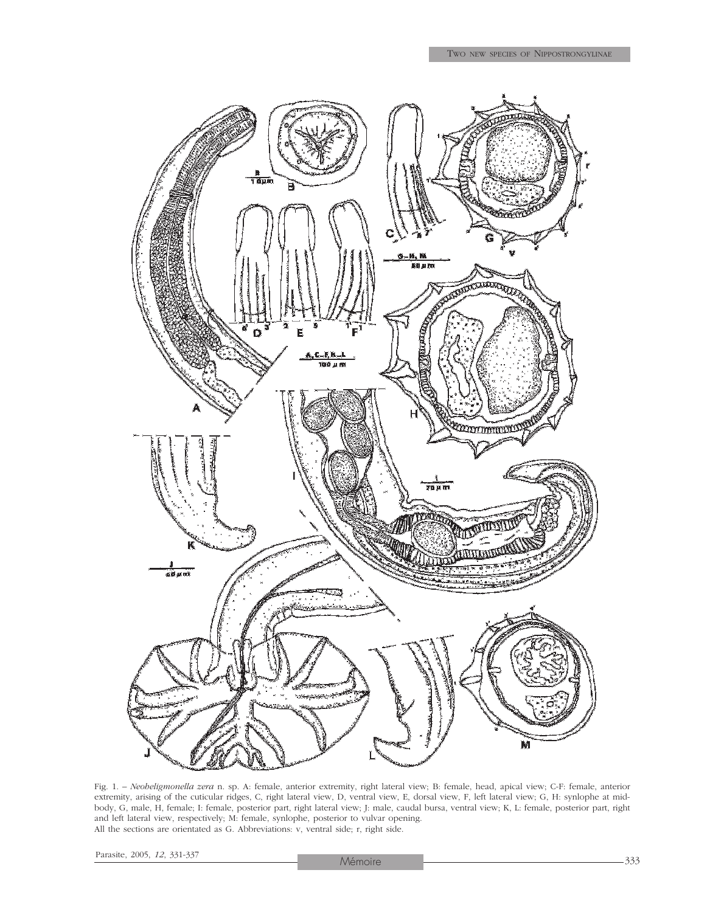

Fig. 1. – *Neoheligmonella zera* n. sp. A: female, anterior extremity, right lateral view; B: female, head, apical view; C-F: female, anterior extremity, arising of the cuticular ridges, C, right lateral view, D, ventral view, E, dorsal view, F, left lateral view; G, H: synlophe at midbody, G, male, H, female; I: female, posterior part, right lateral view; J: male, caudal bursa, ventral view; K, L: female, posterior part, right and left lateral view, respectively; M: female, synlophe, posterior to vulvar opening. All the sections are orientated as G. Abbreviations: v, ventral side; r, right side.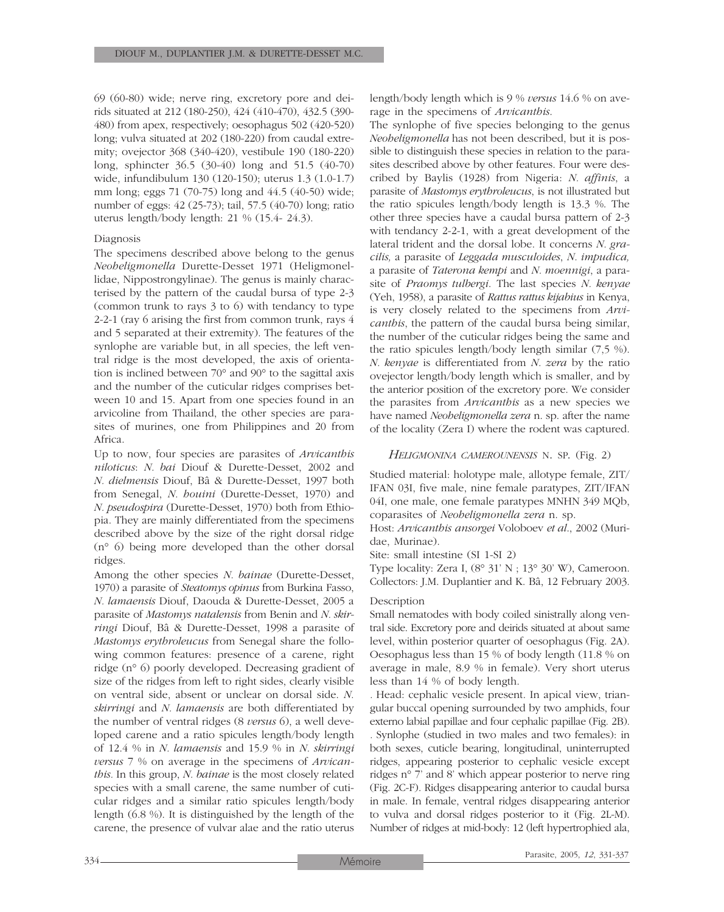69 (60-80) wide; nerve ring, excretory pore and deirids situated at 212 (180-250), 424 (410-470), 432.5 (390- 480) from apex, respectively; oesophagus 502 (420-520) long; vulva situated at 202 (180-220) from caudal extremity; ovejector 368 (340-420), vestibule 190 (180-220) long, sphincter 36.5 (30-40) long and 51.5 (40-70) wide, infundibulum 130 (120-150); uterus 1.3 (1.0-1.7) mm long; eggs 71 (70-75) long and 44.5 (40-50) wide; number of eggs: 42 (25-73); tail, 57.5 (40-70) long; ratio uterus length/body length: 21 % (15.4- 24.3).

#### Diagnosis

The specimens described above belong to the genus *Neoheligmonella* Durette-Desset 1971 (Heligmonellidae, Nippostrongylinae). The genus is mainly characterised by the pattern of the caudal bursa of type 2-3 (common trunk to rays 3 to 6) with tendancy to type 2-2-1 (ray 6 arising the first from common trunk, rays 4 and 5 separated at their extremity). The features of the synlophe are variable but, in all species, the left ventral ridge is the most developed, the axis of orientation is inclined between 70° and 90° to the sagittal axis and the number of the cuticular ridges comprises between 10 and 15. Apart from one species found in an arvicoline from Thailand, the other species are parasites of murines, one from Philippines and 20 from Africa.

Up to now, four species are parasites of *Arvicanthis niloticus*: *N. bai* Diouf & Durette-Desset, 2002 and *N. dielmensis* Diouf, Bâ & Durette-Desset, 1997 both from Senegal, *N. houini* (Durette-Desset, 1970) and *N. pseudospira* (Durette-Desset, 1970) both from Ethiopia. They are mainly differentiated from the specimens described above by the size of the right dorsal ridge (n° 6) being more developed than the other dorsal ridges.

Among the other species *N. bainae* (Durette-Desset, 1970) a parasite of *Steatomys opinus* from Burkina Fasso, *N. lamaensis* Diouf, Daouda & Durette-Desset, 2005 a parasite of *Mastomys natalensis* from Benin and *N. skirringi* Diouf, Bâ & Durette-Desset, 1998 a parasite of *Mastomys erythroleucus* from Senegal share the following common features: presence of a carene, right ridge (n° 6) poorly developed. Decreasing gradient of size of the ridges from left to right sides, clearly visible on ventral side, absent or unclear on dorsal side. *N. skirringi* and *N. lamaensis* are both differentiated by the number of ventral ridges (8 *versus* 6), a well developed carene and a ratio spicules length/body length of 12.4 % in *N. lamaensis* and 15.9 % in *N. skirringi versus* 7 % on average in the specimens of *Arvicanthis.* In this group, *N. bainae* is the most closely related species with a small carene, the same number of cuticular ridges and a similar ratio spicules length/body length (6.8 %). It is distinguished by the length of the carene, the presence of vulvar alae and the ratio uterus length/body length which is 9 % *versus* 14.6 % on average in the specimens of *Arvicanthis*.

The synlophe of five species belonging to the genus *Neoheligmonella* has not been described, but it is possible to distinguish these species in relation to the parasites described above by other features. Four were described by Baylis (1928) from Nigeria: *N. affinis*, a parasite of *Mastomys erythroleucus*, is not illustrated but the ratio spicules length/body length is 13.3 %. The other three species have a caudal bursa pattern of 2-3 with tendancy 2-2-1, with a great development of the lateral trident and the dorsal lobe. It concerns *N. gracilis,* a parasite of *Leggada musculoides*, *N. impudica,* a parasite of *Taterona kempi* and *N. moennigi*, a parasite of *Praomys tulbergi*. The last species *N. kenyae* (Yeh, 1958), a parasite of *Rattus rattus kijabius* in Kenya, is very closely related to the specimens from *Arvicanthis*, the pattern of the caudal bursa being similar, the number of the cuticular ridges being the same and the ratio spicules length/body length similar (7,5 %). *N. kenyae* is differentiated from *N. zera* by the ratio ovejector length/body length which is smaller, and by the anterior position of the excretory pore. We consider the parasites from *Arvicanthis* as a new species we have named *Neoheligmonella zera* n. sp. after the name of the locality (Zera I) where the rodent was captured.

#### *HELIGMONINA CAMEROUNENSIS* N. SP. (Fig. 2)

Studied material: holotype male, allotype female, ZIT/ IFAN 03I, five male, nine female paratypes, ZIT/IFAN 04I, one male, one female paratypes MNHN 349 MQb, coparasites of *Neoheligmonella zera* n. sp.

Host: *Arvicanthis ansorgei* Voloboev *et al*., 2002 (Muridae, Murinae).

Site: small intestine (SI 1-SI 2)

Type locality: Zera I, (8° 31' N ; 13° 30' W), Cameroon. Collectors: J.M. Duplantier and K. Bâ, 12 February 2003.

#### Description

Small nematodes with body coiled sinistrally along ventral side. Excretory pore and deirids situated at about same level, within posterior quarter of oesophagus (Fig. 2A). Oesophagus less than 15 % of body length (11.8 % on average in male, 8.9 % in female). Very short uterus less than 14 % of body length.

*.* Head: cephalic vesicle present. In apical view, triangular buccal opening surrounded by two amphids, four externo labial papillae and four cephalic papillae (Fig. 2B). *.* Synlophe (studied in two males and two females): in both sexes, cuticle bearing, longitudinal, uninterrupted ridges, appearing posterior to cephalic vesicle except ridges n° 7' and 8' which appear posterior to nerve ring (Fig. 2C-F). Ridges disappearing anterior to caudal bursa in male. In female, ventral ridges disappearing anterior to vulva and dorsal ridges posterior to it (Fig. 2L-M). Number of ridges at mid-body: 12 (left hypertrophied ala,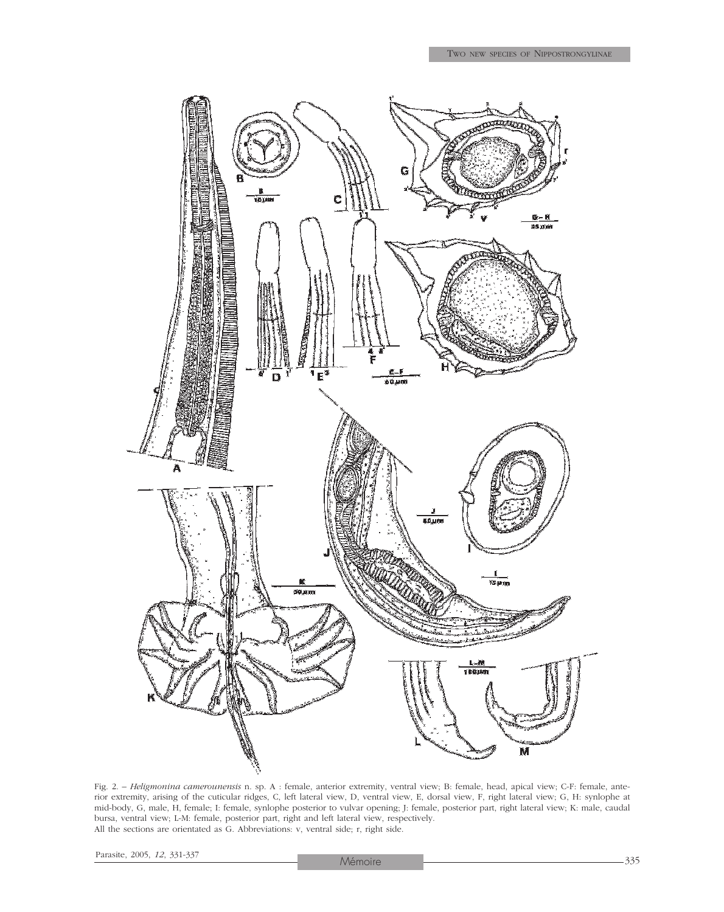

Fig. 2. – *Heligmonina camerounensis* n. sp. A : female, anterior extremity, ventral view; B: female, head, apical view; C-F: female, anterior extremity, arising of the cuticular ridges, C, left lateral view, D, ventral view, E, dorsal view, F, right lateral view; G, H: synlophe at mid-body, G, male, H, female; I: female, synlophe posterior to vulvar opening; J: female, posterior part, right lateral view; K: male, caudal bursa, ventral view; L-M: female, posterior part, right and left lateral view, respectively. All the sections are orientated as G. Abbreviations: v, ventral side; r, right side.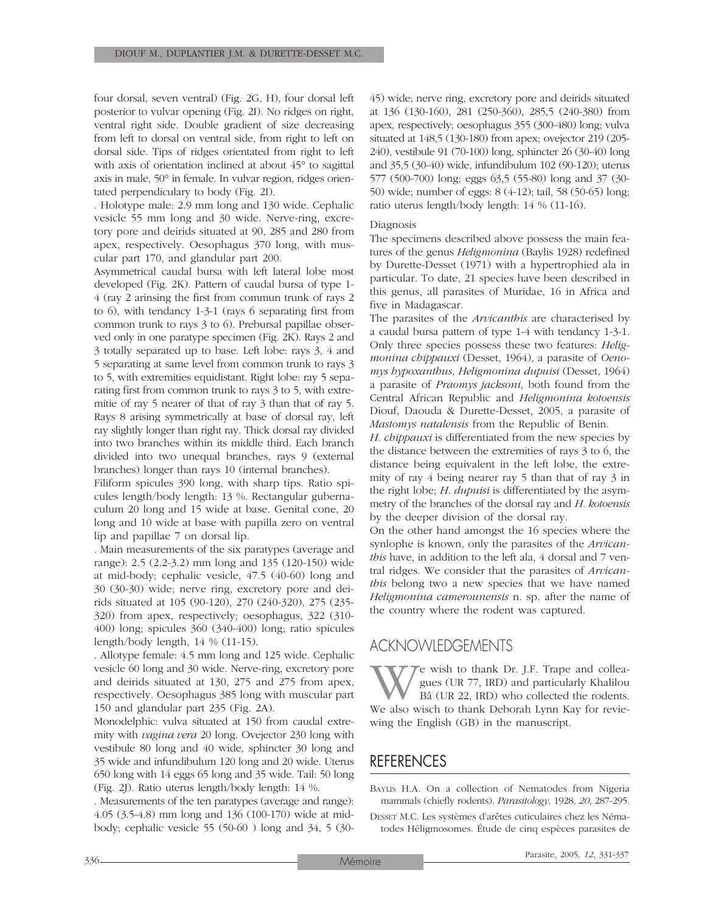four dorsal, seven ventral) (Fig. 2G, H), four dorsal left posterior to vulvar opening (Fig. 2I). No ridges on right, ventral right side. Double gradient of size decreasing from left to dorsal on ventral side, from right to left on dorsal side. Tips of ridges orientated from right to left with axis of orientation inclined at about 45° to sagittal axis in male, 50° in female. In vulvar region, ridges orientated perpendiculary to body (Fig. 2I).

. Holotype male: 2.9 mm long and 130 wide. Cephalic vesicle 55 mm long and 30 wide. Nerve-ring, excretory pore and deirids situated at 90, 285 and 280 from apex, respectively. Oesophagus 370 long, with muscular part 170, and glandular part 200.

Asymmetrical caudal bursa with left lateral lobe most developed (Fig. 2K). Pattern of caudal bursa of type 1- 4 (ray 2 arinsing the first from commun trunk of rays 2 to 6), with tendancy 1-3-1 (rays 6 separating first from common trunk to rays 3 to 6). Prebursal papillae observed only in one paratype specimen (Fig. 2K). Rays 2 and 3 totally separated up to base. Left lobe: rays 3, 4 and 5 separating at same level from common trunk to rays 3 to 5, with extremities equidistant. Right lobe: ray 5 separating first from common trunk to rays 3 to 5, with extremitie of ray 5 nearer of that of ray 3 than that of ray 5. Rays 8 arising symmetrically at base of dorsal ray, left ray slightly longer than right ray. Thick dorsal ray divided into two branches within its middle third. Each branch divided into two unequal branches, rays 9 (external branches) longer than rays 10 (internal branches).

Filiform spicules 390 long, with sharp tips. Ratio spicules length/body length: 13 %. Rectangular gubernaculum 20 long and 15 wide at base. Genital cone, 20 long and 10 wide at base with papilla zero on ventral lip and papillae 7 on dorsal lip*.*

*.* Main measurements of the six paratypes (average and range): 2.5 (2.2-3.2) mm long and 135 (120-150) wide at mid-body; cephalic vesicle, 47.5 (40-60) long and 30 (30-30) wide; nerve ring, excretory pore and deirids situated at 105 (90-120), 270 (240-320), 275 (235- 320) from apex, respectively; oesophagus, 322 (310- 400) long; spicules 360 (340-400) long; ratio spicules length/body length, 14 % (11-15).

. Allotype female: 4.5 mm long and 125 wide. Cephalic vesicle 60 long and 30 wide. Nerve-ring, excretory pore and deirids situated at 130, 275 and 275 from apex, respectively. Oesophagus 385 long with muscular part 150 and glandular part 235 (Fig. 2A).

Monodelphic: vulva situated at 150 from caudal extremity with *vagina vera* 20 long. Ovejector 230 long with vestibule 80 long and 40 wide, sphincter 30 long and 35 wide and infundibulum 120 long and 20 wide. Uterus 650 long with 14 eggs 65 long and 35 wide. Tail: 50 long (Fig. 2J). Ratio uterus length/body length: 14 %.

. Measurements of the ten paratypes (average and range): 4.05 (3.5-4.8) mm long and 136 (100-170) wide at midbody; cephalic vesicle 55 (50-60 ) long and 34, 5 (3045) wide; nerve ring, excretory pore and deirids situated at 136 (130-160), 281 (250-360), 285,5 (240-380) from apex, respectively; oesophagus 355 (300-480) long; vulva situated at 148,5 (130-180) from apex; ovejector 219 (205- 240), vestibule 91 (70-100) long, sphincter 26 (30-40) long and 35,5 (30-40) wide, infundibulum 102 (90-120); uterus 577 (500-700) long; eggs 63,5 (55-80) long and 37 (30- 50) wide; number of eggs: 8 (4-12); tail, 58 (50-65) long; ratio uterus length/body length: 14 % (11-16).

#### Diagnosis

The specimens described above possess the main features of the genus *Heligmonina* (Baylis 1928) redefined by Durette-Desset (1971) with a hypertrophied ala in particular. To date, 21 species have been described in this genus, all parasites of Muridae, 16 in Africa and five in Madagascar.

The parasites of the *Arvicanthis* are characterised by a caudal bursa pattern of type 1-4 with tendancy 1-3-1. Only three species possess these two features: *Heligmonina chippauxi* (Desset, 1964), a parasite of *Oenomys hypoxanthus*, *Heligmonina dupuisi* (Desset, 1964) a parasite of *Praomys jacksoni*, both found from the Central African Republic and *Heligmonina kotoensis* Diouf, Daouda & Durette-Desset, 2005, a parasite of *Mastomys natalensis* from the Republic of Benin.

*H. chippauxi* is differentiated from the new species by the distance between the extremities of rays 3 to 6, the distance being equivalent in the left lobe, the extremity of ray 4 being nearer ray 5 than that of ray 3 in the right lobe; *H. dupuisi* is differentiated by the asymmetry of the branches of the dorsal ray and *H. kotoensis* by the deeper division of the dorsal ray.

On the other hand amongst the 16 species where the synlophe is known, only the parasites of the *Arvicanthis* have, in addition to the left ala, 4 dorsal and 7 ventral ridges. We consider that the parasites of *Arvicanthis* belong two a new species that we have named *Heligmonina camerounensis* n. sp. after the name of the country where the rodent was captured.

## ACKNOWLEDGEMENTS

We wish to thank Dr. J.F. Trape and collea-<br>gues (UR 77, IRD) and particularly Khalilou<br>Bâ (UR 22, IRD) who collected the rodents.<br>We also wisch to thank Deborah Lynn Kay for reviegues (UR 77, IRD) and particularly Khalilou Bâ (UR 22, IRD) who collected the rodents. wing the English (GB) in the manuscript.

# REFERENCES

BAYLIS H.A. On a collection of Nematodes from Nigeria mammals (chiefly rodents). *Parasitology*, 1928, *20*, 287-295.

DESSET M.C. Les systèmes d'arêtes cuticulaires chez les Nématodes Héligmosomes. Étude de cinq espèces parasites de